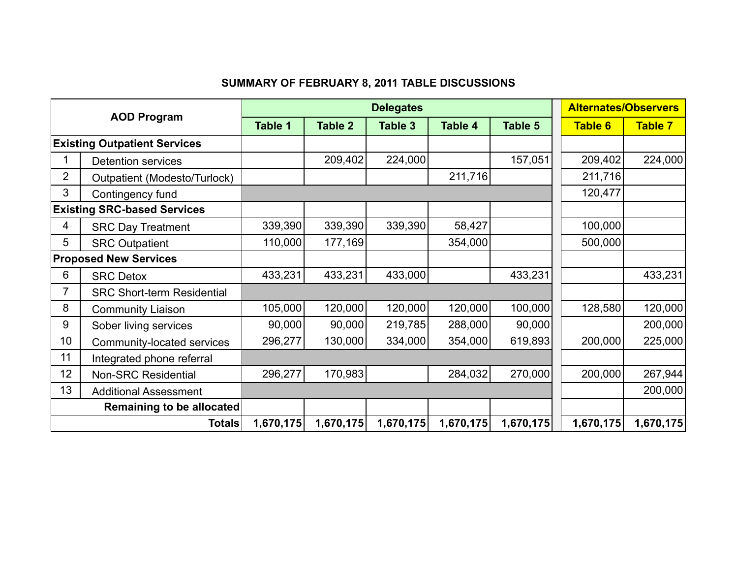## **SUMMARY OF FEBRUARY 8, 2011 TABLE DISCUSSIONS**

| <b>AOD Program</b>                  |                                   |                |                | <b>Alternates/Observers</b> |                |           |                |                |
|-------------------------------------|-----------------------------------|----------------|----------------|-----------------------------|----------------|-----------|----------------|----------------|
|                                     |                                   | <b>Table 1</b> | <b>Table 2</b> | Table 3                     | <b>Table 4</b> | Table 5   | <b>Table 6</b> | <b>Table 7</b> |
| <b>Existing Outpatient Services</b> |                                   |                |                |                             |                |           |                |                |
|                                     | <b>Detention services</b>         |                | 209,402        | 224,000                     |                | 157,051   | 209,402        | 224,000        |
| $\overline{2}$                      | Outpatient (Modesto/Turlock)      |                |                |                             | 211,716        |           | 211,716        |                |
| 3                                   | Contingency fund                  |                |                |                             |                |           | 120,477        |                |
| <b>Existing SRC-based Services</b>  |                                   |                |                |                             |                |           |                |                |
| 4                                   | <b>SRC Day Treatment</b>          | 339,390        | 339,390        | 339,390                     | 58,427         |           | 100,000        |                |
| 5                                   | <b>SRC Outpatient</b>             | 110,000        | 177,169        |                             | 354,000        |           | 500,000        |                |
| <b>Proposed New Services</b>        |                                   |                |                |                             |                |           |                |                |
| 6                                   | <b>SRC Detox</b>                  | 433,231        | 433,231        | 433,000                     |                | 433,231   |                | 433,231        |
| $\overline{7}$                      | <b>SRC Short-term Residential</b> |                |                |                             |                |           |                |                |
| 8                                   | <b>Community Liaison</b>          | 105,000        | 120,000        | 120,000                     | 120,000        | 100,000   | 128,580        | 120,000        |
| 9                                   | Sober living services             | 90,000         | 90,000         | 219,785                     | 288,000        | 90,000    |                | 200,000        |
| 10                                  | Community-located services        | 296,277        | 130,000        | 334,000                     | 354,000        | 619,893   | 200,000        | 225,000        |
| 11                                  | Integrated phone referral         |                |                |                             |                |           |                |                |
| 12                                  | <b>Non-SRC Residential</b>        | 296,277        | 170,983        |                             | 284,032        | 270,000   | 200,000        | 267,944        |
| 13                                  | <b>Additional Assessment</b>      |                |                |                             |                |           |                | 200,000        |
|                                     | Remaining to be allocated         |                |                |                             |                |           |                |                |
|                                     | <b>Totals</b>                     | 1,670,175      | 1,670,175      | 1,670,175                   | 1,670,175      | 1,670,175 | 1,670,175      | 1,670,175      |